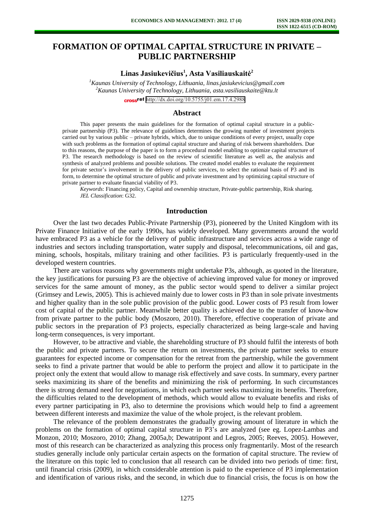# **FORMATION OF OPTIMAL CAPITAL STRUCTURE IN PRIVATE – PUBLIC PARTNERSHIP**

## **Linas Jasiukevičius<sup>1</sup> , Asta Vasiliauskaitė<sup>2</sup>**

*<sup>1</sup>Kaunas University of Technology, Lithuania[, linas.jasiukevicius@gmail.com](mailto:linas.jasiukevicius@gmail.com) <sup>2</sup>Kaunas University of Technology, Lithuania, [asta.vasiliauskaite@ktu.lt](mailto:asta.vasiliauskaite@ktu.lt)*

cross<sup>ref</sup> <http://dx.doi.org/10.5755/j01.em.17.4.2988>

## **Abstract**

This paper presents the main guidelines for the formation of optimal capital structure in a publicprivate partnership (P3). The relevance of guidelines determines the growing number of investment projects carried out by various public – private hybrids, which, due to unique conditions of every project, usually cope with such problems as the formation of optimal capital structure and sharing of risk between shareholders. Due to this reasons, the purpose of the paper is to form a procedural model enabling to optimize capital structure of P3. The research methodology is based on the review of scientific literature as well as, the analysis and synthesis of analyzed problems and possible solutions. The created model enables to evaluate the requirement for private sector's involvement in the delivery of public services, to select the rational basis of P3 and its form, to determine the optimal structure of public and private investment and by optimizing capital structure of private partner to evaluate financial viability of P3.

*Keywords*: Financing policy, Capital and ownership structure, Private-public partnership, Risk sharing. *JEL Classification*: G32.

## **Introduction**

Over the last two decades Public-Private Partnership (P3), pioneered by the United Kingdom with its Private Finance Initiative of the early 1990s, has widely developed. Many governments around the world have embraced P3 as a vehicle for the delivery of public infrastructure and services across a wide range of industries and sectors including transportation, water supply and disposal, telecommunications, oil and gas, mining, schools, hospitals, military training and other facilities. P3 is particularly frequently-used in the developed western countries.

There are various reasons why governments might undertake P3s, although, as quoted in the literature, the key justifications for pursuing P3 are the objective of achieving improved value for money or improved services for the same amount of money, as the public sector would spend to deliver a similar project (Grimsey and Lewis, 2005). This is achieved mainly due to lower costs in P3 than in sole private investments and higher quality than in the sole public provision of the public good. Lower costs of P3 result from lower cost of capital of the public partner. Meanwhile better quality is achieved due to the transfer of know-how from private partner to the public body (Moszoro, 2010). Therefore, effective cooperation of private and public sectors in the preparation of P3 projects, especially characterized as being large-scale and having long-term consequences, is very important.

However, to be attractive and viable, the shareholding structure of P3 should fulfil the interests of both the public and private partners. To secure the return on investments, the private partner seeks to ensure guarantees for expected income or compensation for the retreat from the partnership, while the government seeks to find a private partner that would be able to perform the project and allow it to participate in the project only the extent that would allow to manage risk effectively and save costs. In summary, every partner seeks maximizing its share of the benefits and minimizing the risk of performing. In such circumstances there is strong demand need for negotiations, in which each partner seeks maximizing its benefits. Therefore, the difficulties related to the development of methods, which would allow to evaluate benefits and risks of every partner participating in P3, also to determine the provisions which would help to find a agreement between different interests and maximize the value of the whole project, is the relevant problem.

The relevance of the problem demonstrates the gradually growing amount of literature in which the problems on the formation of optimal capital structure in P3's are analyzed (see eg. Lopez-Lambas and Monzon, 2010; Moszoro, 2010; Zhang, 2005a,b; Dewatripont and Legros, 2005; Reeves, 2005). However, most of this research can be characterized as analyzing this process only fragmentarily. Most of the research studies generally include only particular certain aspects on the formation of capital structure. The review of the literature on this topic led to conclusion that all research can be divided into two periods of time: first, until financial crisis (2009), in which considerable attention is paid to the experience of P3 implementation and identification of various risks, and the second, in which due to financial crisis, the focus is on how the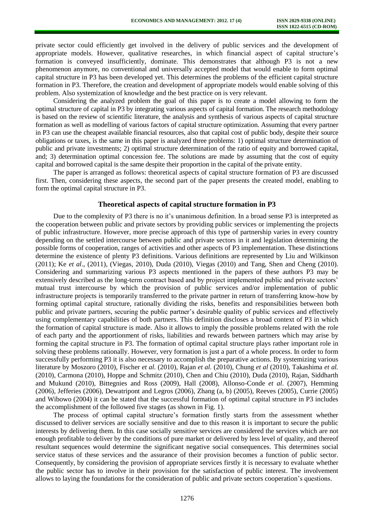private sector could efficiently get involved in the delivery of public services and the development of appropriate models. However, qualitative researches, in which financial aspect of capital structure's formation is conveyed insufficiently, dominate. This demonstrates that although P3 is not a new phenomenon anymore, no conventional and universally accepted model that would enable to form optimal capital structure in P3 has been developed yet. This determines the problems of the efficient capital structure formation in P3. Therefore, the creation and development of appropriate models would enable solving of this problem. Also systemization of knowledge and the best practice on is very relevant.

Considering the analyzed problem the goal of this paper is to create a model allowing to form the optimal structure of capital in P3 by integrating various aspects of capital formation. The research methodology is based on the review of scientific literature, the analysis and synthesis of various aspects of capital structure formation as well as modelling of various factors of capital structure optimization. Assuming that every partner in P3 can use the cheapest available financial resources, also that capital cost of public body, despite their source obligations or taxes, is the same in this paper is analyzed three problems: 1) optimal structure determination of public and private investments; 2) optimal structure determination of the ratio of equity and borrowed capital, and; 3) determination optimal concession fee. The solutions are made by assuming that the cost of equity capital and borrowed capital is the same despite their proportion in the capital of the private entity.

The paper is arranged as follows: theoretical aspects of capital structure formation of P3 are discussed first. Then, considering these aspects, the second part of the paper presents the created model, enabling to form the optimal capital structure in P3.

#### **Theoretical aspects of capital structure formation in P3**

Due to the complexity of P3 there is no it's unanimous definition. In a broad sense P3 is interpreted as the cooperation between public and private sectors by providing public services or implementing the projects of public infrastructure. However, more precise approach of this type of partnership varies in every country depending on the settled intercourse between public and private sectors in it and legislation determining the possible forms of cooperation, ranges of activities and other aspects of P3 implementation. These distinctions determine the existence of plenty P3 definitions. Various definitions are represented by Liu and Wilkinson (2011); Ke *et al*., (2011), (Viegas, 2010), Duda (2010), Viegas (2010) and Tang, Shen and Cheng (2010). Considering and summarizing various P3 aspects mentioned in the papers of these authors P3 may be extensively described as the long-term contract based and by project implemented public and private sectors' mutual trust intercourse by which the provision of public services and/or implementation of public infrastructure projects is temporarily transferred to the private partner in return of transferring know-how by forming optimal capital structure, rationally dividing the risks, benefits and responsibilities between both public and private partners, securing the public partner's desirable quality of public services and effectively using complementary capabilities of both partners. This definition discloses a broad context of P3 in which the formation of capital structure is made. Also it allows to imply the possible problems related with the role of each party and the apportionment of risks, liabilities and rewards between partners which may arise by forming the capital structure in P3. The formation of optimal capital structure plays rather important role in solving these problems rationally. However, very formation is just a part of a whole process. In order to form successfully performing P3 it is also necessary to accomplish the preparative actions. By systemizing various literature by Moszoro (2010), Fischer *et al.* (2010), Rajan *et al.* (2010), Chung *et al* (2010), Takashima *et al.*  (2010), Carmona (2010), Hoppe and Schmitz (2010), Chen and Chiu (2010), Duda (2010), Rajan, Siddharth and Mukund (2010), Bittegnies and Ross (2009), Hall (2008), Allonso-Conde *et al*. (2007), Hemming (2006), Jefferies (2006), Dewatripont and Legros (2006), Zhang (a, b) (2005), Reeves (2005), Currie (2005) and Wibowo (2004) it can be stated that the successful formation of optimal capital structure in P3 includes the accomplishment of the followed five stages (as shown in Fig. 1).

The process of optimal capital structure's formation firstly starts from the assessment whether discussed to deliver services are socially sensitive and due to this reason it is important to secure the public interests by delivering them. In this case socially sensitive services are considered the services which are not enough profitable to deliver by the conditions of pure market or delivered by less level of quality, and thereof resultant sequences would determine the significant negative social consequences. This determines social service status of these services and the assurance of their provision becomes a function of public sector. Consequently, by considering the provision of appropriate services firstly it is necessary to evaluate whether the public sector has to involve in their provision for the satisfaction of public interest. The involvement allows to laying the foundations for the consideration of public and private sectors cooperation's questions.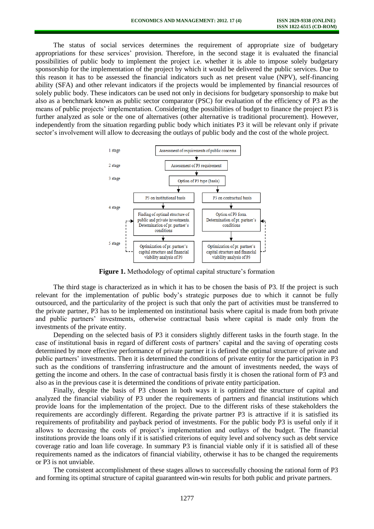The status of social services determines the requirement of appropriate size of budgetary appropriations for these services' provision. Therefore, in the second stage it is evaluated the financial possibilities of public body to implement the project i.e. whether it is able to impose solely budgetary sponsorship for the implementation of the project by which it would be delivered the public services. Due to this reason it has to be assessed the financial indicators such as net present value (NPV), self-financing ability (SFA) and other relevant indicators if the projects would be implemented by financial resources of solely public body. These indicators can be used not only in decisions for budgetary sponsorship to make but also as a benchmark known as public sector comparator (PSC) for evaluation of the efficiency of P3 as the means of public projects' implementation. Considering the possibilities of budget to finance the project P3 is further analyzed as sole or the one of alternatives (other alternative is traditional procurement). However, independently from the situation regarding public body which initiates P3 it will be relevant only if private sector's involvement will allow to decreasing the outlays of public body and the cost of the whole project.



**Figure 1.** Methodology of optimal capital structure's formation

The third stage is characterized as in which it has to be chosen the basis of P3. If the project is such relevant for the implementation of public body's strategic purposes due to which it cannot be fully outsourced, and the particularity of the project is such that only the part of activities must be transferred to the private partner, P3 has to be implemented on institutional basis where capital is made from both private and public partners' investments, otherwise contractual basis where capital is made only from the investments of the private entity.

Depending on the selected basis of P3 it considers slightly different tasks in the fourth stage. In the case of institutional basis in regard of different costs of partners' capital and the saving of operating costs determined by more effective performance of private partner it is defined the optimal structure of private and public partners' investments. Then it is determined the conditions of private entity for the participation in P3 such as the conditions of transferring infrastructure and the amount of investments needed, the ways of getting the income and others. In the case of contractual basis firstly it is chosen the rational form of P3 and also as in the previous case it is determined the conditions of private entity participation.

Finally, despite the basis of P3 chosen in both ways it is optimized the structure of capital and analyzed the financial viability of P3 under the requirements of partners and financial institutions which provide loans for the implementation of the project. Due to the different risks of these stakeholders the requirements are accordingly different. Regarding the private partner P3 is attractive if it is satisfied its requirements of profitability and payback period of investments. For the public body P3 is useful only if it allows to decreasing the costs of project's implementation and outlays of the budget. The financial institutions provide the loans only if it is satisfied criterions of equity level and solvency such as debt service coverage ratio and loan life coverage. In summary P3 is financial viable only if it is satisfied all of these requirements named as the indicators of financial viability, otherwise it has to be changed the requirements or P3 is not unviable.

The consistent accomplishment of these stages allows to successfully choosing the rational form of P3 and forming its optimal structure of capital guaranteed win-win results for both public and private partners.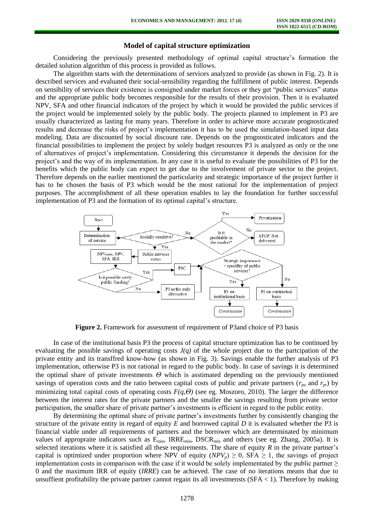## **Model of capital structure optimization**

Considering the previously presented methodology of optimal capital structure's formation the detailed solution algorithm of this process is provided as follows.

The algorithm starts with the determinations of services analyzed to provide (as shown in Fig. 2). It is described services and evaluated their social-sensibility regarding the fulfillment of public interest. Depends on sensibility of services their existence is consigned under market forces or they get "public services" status and the appropriate public body becomes responsible for the results of their provision. Then it is evaluated NPV, SFA and other financial indicators of the project by which it would be provided the public services if the project would be implemented solely by the public body. The projects planned to implement in P3 are usually characterized as lasting for many years. Therefore in order to achieve more accurate prognosticated results and decrease the risks of project's implementation it has to be used the simulation-based input data modeling. Data are discounted by social discount rate. Depends on the prognosticated indicators and the financial possibilities to implement the project by solely budget resources P3 is analyzed as only or the one of alternatives of project's implementation. Considering this circumstance it depends the decision for the project's and the way of its implementation. In any case it is useful to evaluate the possibilities of P3 for the benefits which the public body can expect to get due to the involvement of private sector to the project. Therefore depends on the earlier mentioned the particularity and strategic importance of the project further it has to be chosen the basis of P3 which would be the most rational for the implementation of project purposes. The accomplishment of all these operation enables to lay the foundation for further successful implementation of P3 and the formation of its optimal capital's structure.



**Figure 2.** Framework for assessment of requirement of P3 and choice of P3 basis

In case of the institutional basis P3 the process of capital structure optimization has to be continued by evaluating the possible savings of operating costs *J(q)* of the whole project due to the partcipation of the private entity and its transffred know-how (as shown in Fig. 3). Savings enable the further analysis of P3 implementation, otherwise P3 is not rational in regard to the public body. In case of savings it is determined the optimal share of private investments *Θ* which is asstimated depending on the previously mentioned savings of operation costs and the ratio between capital costs of public and private partners ( $r_{pu}$  and  $r_{pr}$ ) by minimizing total capital costs of operating costs *F(q,Θ)* (see eg. Moszoro, 2010). The larger the difference between the interest rates for the private partners and the smaller the savings resulting from private sector participation, the smaller share of private partner's investments is efficient in regard to the public entity.

By determining the optimal share of private partner's investments further by consistently changing the structure of the private entity in regard of equity *E* and borrowed capital *D* it is evaluated whether the P3 is financial viable under all requirements of partners and the borrower which are determinated by minimum values of appropraite indicators such as E<sub>min</sub>, IRRE<sub>min</sub>, DSCR<sub>min</sub> and others (see eg. Zhang, 2005a). It is selected iterations where it is satisfied all these requirements. The share of equity *R* in the private partner's capital is optimized under proportion where NPV of equity  $(NPV_p) \ge 0$ , SFA  $\ge 1$ , the savings of project implementation costs in comparison with the case if it would be solely implementated by the public partner  $\geq$ 0 and the maximum IRR of equity (*IRRE*) can be achieved. The case of no iterations means that due to unsuffient profitability the private partner cannot regain its all investments  $(SFA < 1)$ . Therefore by making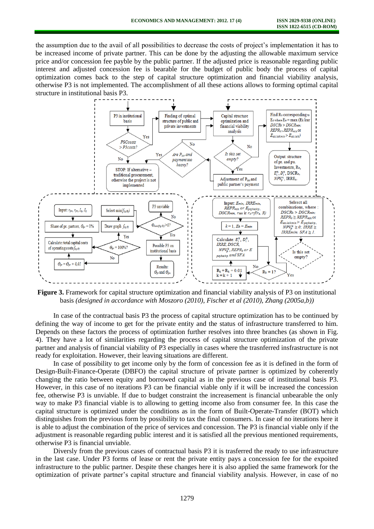the assumption due to the avail of all possibilities to decrease the costs of project's implementation it has to be increased income of private partner. This can be done by the adjusting the allowable maximum service price and/or concession fee payble by the public partner. If the adjusted price is reasonable regarding public interest and adjusted concession fee is bearable for the budget of public body the process of capital optimization comes back to the step of capital structure optimization and financial viability analysis, otherwise P3 is not implemented. The accomplishment of all these actions allows to forming optimal capital structure in institutional basis P3.



**Figure 3.** Framework for capital structure optimization and financial viability analysis of P3 on institutional basis *(designed in accordance with Moszoro (2010), Fischer et al (2010), Zhang (2005a,b))*

In case of the contractual basis P3 the process of capital structure optimization has to be continued by defining the way of income to get for the private entity and the status of infrastructure transferred to him. Depends on these factors the process of optimization further resolves into three branches (as shown in Fig. 4). They have a lot of similarities regarding the process of capital structure optimization of the private partner and analysis of financial viability of P3 especially in cases where the trasnferred insfrastructure is not ready for exploitation. However, their leaving situations are different.

In case of possibility to get income only by the form of concession fee as it is defined in the form of Design-Built-Finance-Operate (DBFO) the capital structure of private partner is optimized by coherently changing the ratio between equity and borrowed capital as in the previous case of institutional basis P3. However, in this case of no iterations P3 can be financial viable only if it will be increased the concession fee, otherwise P3 is unviable. If due to budget constraint the increasement is financial unbearable the only way to make P3 financial viable is to allowing to getting income also from consumer fee. In this case the capital structure is optimized under the conditions as in the form of Built-Operate-Transfer (BOT) which distinguishes from the previous form by possibility to tax the final consumers. In case of no iterations here it is able to adjust the combination of the price of services and concession. The P3 is financial viable only if the adjustment is reasonable regarding public interest and it is satisfied all the previous mentioned requirements, otherwise P3 is financial unviable.

Diversly from the previous cases of contractual basis P3 it is trasferred the ready to use infrastructure in the last case. Under P3 forms of lease or rent the private entity pays a concession fee for the expoited infrastructure to the public partner. Despite these changes here it is also applied the same framework for the optimization of private partner's capital structure and financial viability analysis. However, in case of no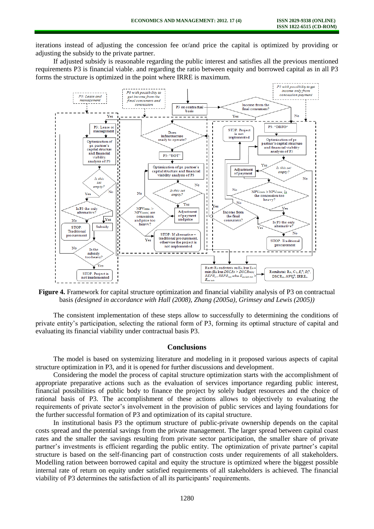iterations instead of adjusting the concession fee or/and price the capital is optimized by providing or adjusting the subsidy to the private partner.

If adjusted subsidy is reasonable regarding the public interest and satisfies all the previous mentioned requirements P3 is financial viable. and regarding the ratio between equity and borrowed capital as in all P3 forms the structure is optimized in the point where IRRE is maximum.



**Figure 4.** Framework for capital structure optimization and financial viability analysis of P3 on contractual basis *(designed in accordance with Hall (2008), Zhang (2005a), Grimsey and Lewis (2005))*

The consistent implementation of these steps allow to successfully to determining the conditions of private entity's participation, selecting the rational form of P3, forming its optimal structure of capital and evaluating its financial viability under contractual basis P3.

### **Conclusions**

The model is based on systemizing literature and modeling in it proposed various aspects of capital structure optimization in P3, and it is opened for further discussions and development.

Considering the model the process of capital structure optimization starts with the accomplishment of appropriate preparative actions such as the evaluation of services importance regarding public interest, financial possibilities of public body to finance the project by solely budget resources and the choice of rational basis of P3. The accomplishment of these actions allows to objectively to evaluating the requirements of private sector's involvement in the provision of public services and laying foundations for the further successful formation of P3 and optimization of its capital structure.

In institutional basis P3 the optimum structure of public-private ownership depends on the capital costs spread and the potential savings from the private management. The larger spread between capital coast rates and the smaller the savings resulting from private sector participation, the smaller share of private partner's investments is efficient regarding the public entity. The optimization of private partner's capital structure is based on the self-financing part of construction costs under requirements of all stakeholders. Modelling ration between borrowed capital and equity the structure is optimized where the biggest possible internal rate of return on equity under satisfied requirements of all stakeholders is achieved. The financial viability of P3 determines the satisfaction of all its participants' requirements.